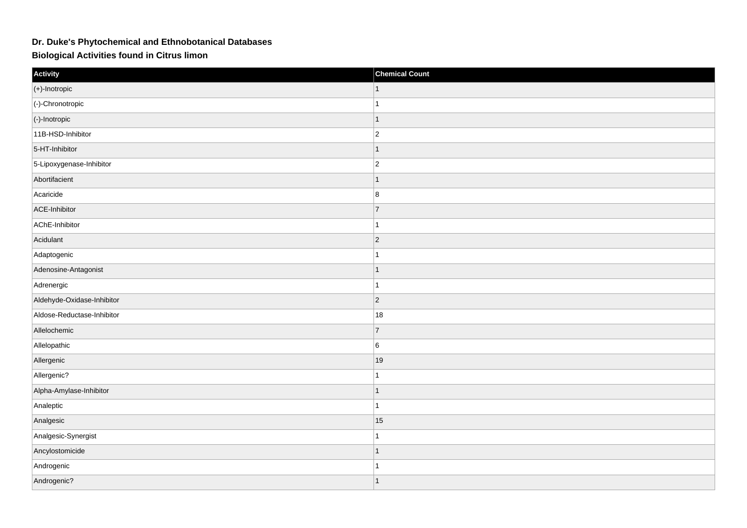## **Dr. Duke's Phytochemical and Ethnobotanical Databases**

**Biological Activities found in Citrus limon**

| Activity                   | <b>Chemical Count</b> |
|----------------------------|-----------------------|
| $(+)$ -Inotropic           |                       |
| (-)-Chronotropic           |                       |
| (-)-Inotropic              | -1                    |
| 11B-HSD-Inhibitor          | $\overline{c}$        |
| 5-HT-Inhibitor             |                       |
| 5-Lipoxygenase-Inhibitor   | $\overline{2}$        |
| Abortifacient              |                       |
| Acaricide                  | 8                     |
| ACE-Inhibitor              | $\overline{7}$        |
| AChE-Inhibitor             |                       |
| Acidulant                  | $\vert$ 2             |
| Adaptogenic                |                       |
| Adenosine-Antagonist       |                       |
| Adrenergic                 |                       |
| Aldehyde-Oxidase-Inhibitor | $\vert$ 2             |
| Aldose-Reductase-Inhibitor | 18                    |
| Allelochemic               | $\overline{7}$        |
| Allelopathic               | 6                     |
| Allergenic                 | 19                    |
| Allergenic?                |                       |
| Alpha-Amylase-Inhibitor    |                       |
| Analeptic                  |                       |
| Analgesic                  | 15                    |
| Analgesic-Synergist        |                       |
| Ancylostomicide            |                       |
| Androgenic                 |                       |
| Androgenic?                |                       |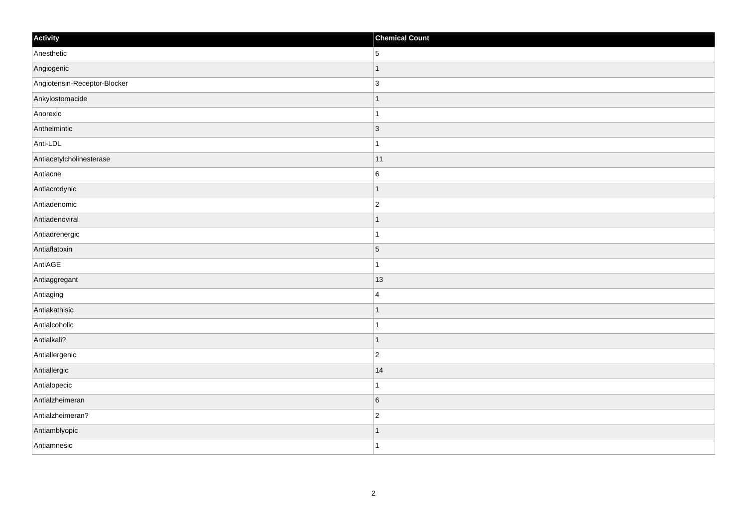| Activity                     | <b>Chemical Count</b> |
|------------------------------|-----------------------|
| Anesthetic                   | 5                     |
| Angiogenic                   |                       |
| Angiotensin-Receptor-Blocker | $\overline{3}$        |
| Ankylostomacide              | 1                     |
| Anorexic                     | 1                     |
| Anthelmintic                 | $\vert 3 \vert$       |
| Anti-LDL                     |                       |
| Antiacetylcholinesterase     | 11                    |
| Antiacne                     | $6\phantom{.}6$       |
| Antiacrodynic                | -1                    |
| Antiadenomic                 | $\overline{2}$        |
| Antiadenoviral               |                       |
| Antiadrenergic               |                       |
| Antiaflatoxin                | $\overline{5}$        |
| AntiAGE                      |                       |
| Antiaggregant                | 13                    |
| Antiaging                    | 4                     |
| Antiakathisic                |                       |
| Antialcoholic                |                       |
| Antialkali?                  | 1                     |
| Antiallergenic               | $\overline{c}$        |
| Antiallergic                 | 14                    |
| Antialopecic                 |                       |
| Antialzheimeran              | $6\overline{6}$       |
| Antialzheimeran?             | $\overline{c}$        |
| Antiamblyopic                |                       |
| Antiamnesic                  | $\overline{1}$        |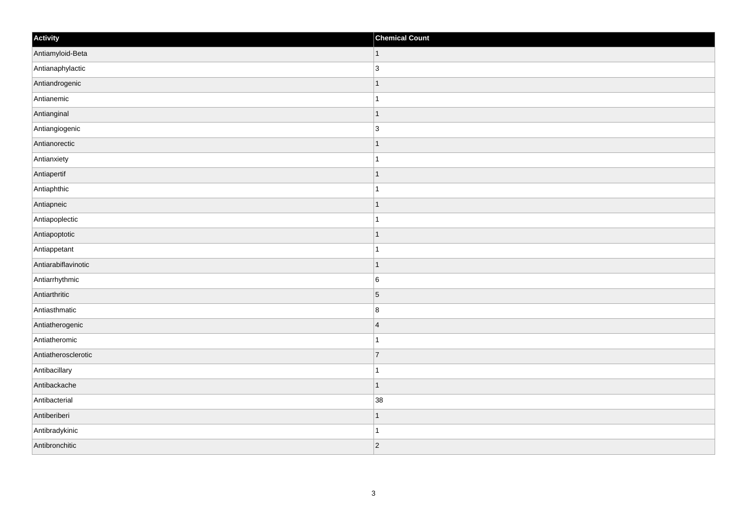| Activity            | <b>Chemical Count</b> |
|---------------------|-----------------------|
| Antiamyloid-Beta    | $\vert$ 1             |
| Antianaphylactic    | 3                     |
| Antiandrogenic      | 1                     |
| Antianemic          | $\mathbf 1$           |
| Antianginal         | $\mathbf 1$           |
| Antiangiogenic      | $\overline{3}$        |
| Antianorectic       | $\overline{1}$        |
| Antianxiety         | $\vert$ 1             |
| Antiapertif         | $\mathbf 1$           |
| Antiaphthic         | $\mathbf{1}$          |
| Antiapneic          | $\overline{1}$        |
| Antiapoplectic      |                       |
| Antiapoptotic       | $\vert$ 1             |
| Antiappetant        | $\mathbf{1}$          |
| Antiarabiflavinotic | $\mathbf 1$           |
| Antiarrhythmic      | $\boldsymbol{6}$      |
| Antiarthritic       | $\overline{5}$        |
| Antiasthmatic       | $\bf 8$               |
| Antiatherogenic     | $\overline{4}$        |
| Antiatheromic       | $\mathbf 1$           |
| Antiatherosclerotic | $\overline{7}$        |
| Antibacillary       | $\mathbf{1}$          |
| Antibackache        | $\vert$ 1             |
| Antibacterial       | 38                    |
| Antiberiberi        | $\mathbf{1}$          |
| Antibradykinic      | 1                     |
| Antibronchitic      | $ 2\rangle$           |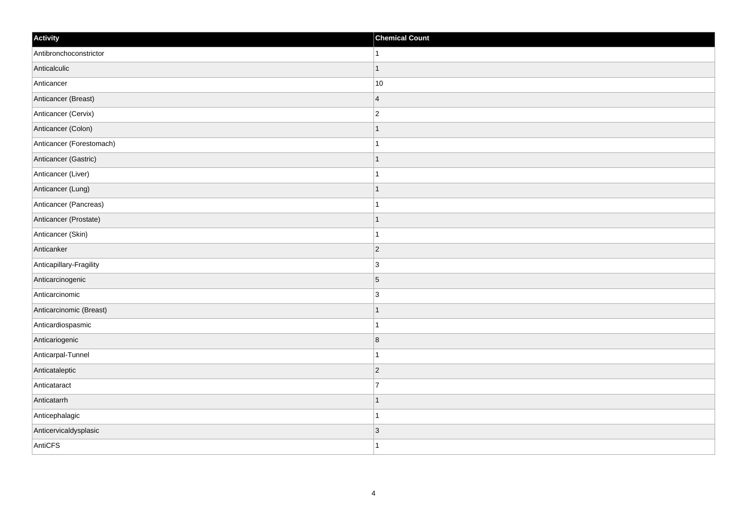| Activity                 | <b>Chemical Count</b>   |
|--------------------------|-------------------------|
| Antibronchoconstrictor   | $\vert$ 1               |
| Anticalculic             | $\mathbf{1}$            |
| Anticancer               | 10                      |
| Anticancer (Breast)      | $\vert$ 4               |
| Anticancer (Cervix)      | $ 2\rangle$             |
| Anticancer (Colon)       | $\mathbf{1}$            |
| Anticancer (Forestomach) | $\mathbf{1}$            |
| Anticancer (Gastric)     | $\mathbf{1}$            |
| Anticancer (Liver)       | $\mathbf{1}$            |
| Anticancer (Lung)        | $\vert$ 1               |
| Anticancer (Pancreas)    | $\vert$ 1               |
| Anticancer (Prostate)    | $\mathbf{1}$            |
| Anticancer (Skin)        | $\mathbf{1}$            |
| Anticanker               | $\vert$ 2               |
| Anticapillary-Fragility  | $\vert$ 3               |
| Anticarcinogenic         | $\overline{5}$          |
| Anticarcinomic           | $\vert$ 3               |
| Anticarcinomic (Breast)  | $\mathbf{1}$            |
| Anticardiospasmic        | $\mathbf{1}$            |
| Anticariogenic           | $\overline{\mathbf{8}}$ |
| Anticarpal-Tunnel        | $\mathbf{1}$            |
| Anticataleptic           | $ 2\rangle$             |
| Anticataract             | 17                      |
| Anticatarrh              | $\mathbf{1}$            |
| Anticephalagic           | $\mathbf{1}$            |
| Anticervicaldysplasic    | $\vert 3 \vert$         |
| AntiCFS                  | $\vert$ 1               |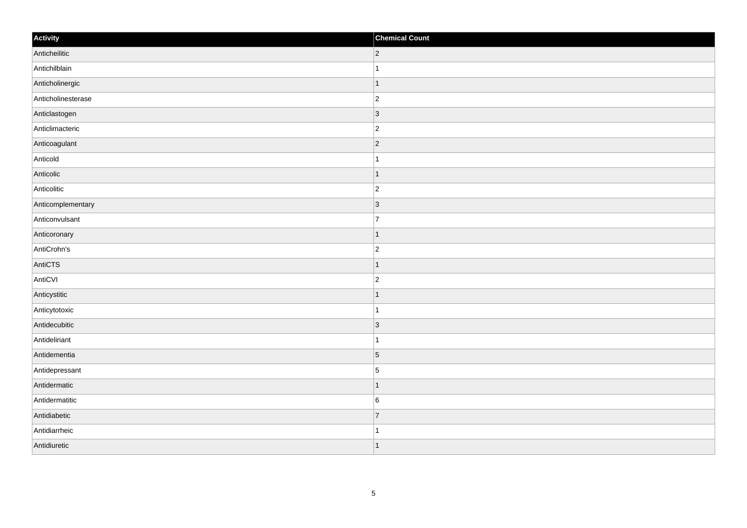| Activity           | <b>Chemical Count</b> |
|--------------------|-----------------------|
| Anticheilitic      | $ 2\rangle$           |
| Antichilblain      | $\overline{1}$        |
| Anticholinergic    | $\vert$ 1             |
| Anticholinesterase | $\overline{c}$        |
| Anticlastogen      | $\overline{3}$        |
| Anticlimacteric    | $ 2\rangle$           |
| Anticoagulant      | $ 2\rangle$           |
| Anticold           | $\mathbf{1}$          |
| Anticolic          | $\vert$ 1             |
| Anticolitic        | $ 2\rangle$           |
| Anticomplementary  | $ 3\rangle$           |
| Anticonvulsant     | $\overline{7}$        |
| Anticoronary       | $\vert$ 1             |
| AntiCrohn's        | $\overline{c}$        |
| AntiCTS            | $\mathbf 1$           |
| AntiCVI            | $ 2\rangle$           |
| Anticystitic       | $\mathbf 1$           |
| Anticytotoxic      | $\overline{1}$        |
| Antidecubitic      | 3                     |
| Antideliriant      | $\mathbf 1$           |
| Antidementia       | 5                     |
| Antidepressant     | $\overline{5}$        |
| Antidermatic       | $\vert$ 1             |
| Antidermatitic     | 6                     |
| Antidiabetic       | 7                     |
| Antidiarrheic      | 1                     |
| Antidiuretic       | $\overline{1}$        |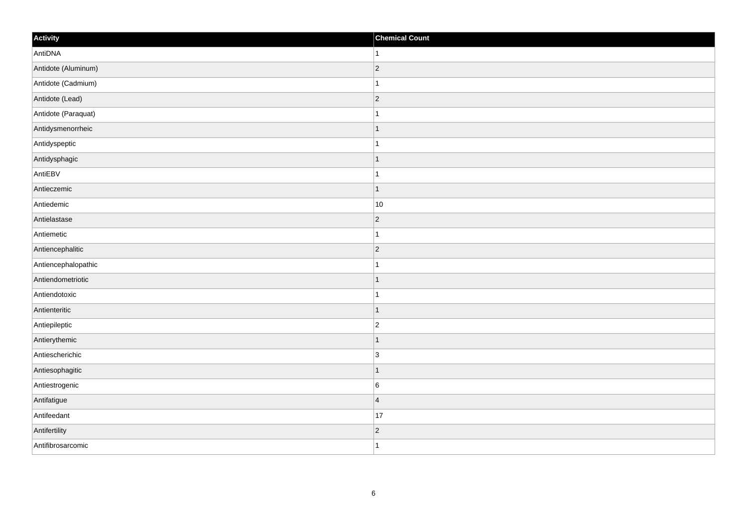| Activity            | <b>Chemical Count</b> |
|---------------------|-----------------------|
| AntiDNA             | $\vert$ 1             |
| Antidote (Aluminum) | $ 2\rangle$           |
| Antidote (Cadmium)  | $\mathbf{1}$          |
| Antidote (Lead)     | $ 2\rangle$           |
| Antidote (Paraquat) | $\mathbf{1}$          |
| Antidysmenorrheic   | $\mathbf{1}$          |
| Antidyspeptic       | $\mathbf{1}$          |
| Antidysphagic       | $\mathbf{1}$          |
| AntiEBV             | $\mathbf{1}$          |
| Antieczemic         | $\vert$ 1             |
| Antiedemic          | 10                    |
| Antielastase        | $ 2\rangle$           |
| Antiemetic          | $\mathbf{1}$          |
| Antiencephalitic    | $\overline{2}$        |
| Antiencephalopathic | $\mathbf{1}$          |
| Antiendometriotic   | $\vert$ 1             |
| Antiendotoxic       | $\mathbf{1}$          |
| Antienteritic       | $\vert$ 1             |
| Antiepileptic       | $\vert$ 2             |
| Antierythemic       | $\mathbf{1}$          |
| Antiescherichic     | $\vert$ 3             |
| Antiesophagitic     | $\vert$ 1             |
| Antiestrogenic      | 6                     |
| Antifatigue         | $\vert 4 \vert$       |
| Antifeedant         | 17                    |
| Antifertility       | $\vert$ 2             |
| Antifibrosarcomic   | $\vert$ 1             |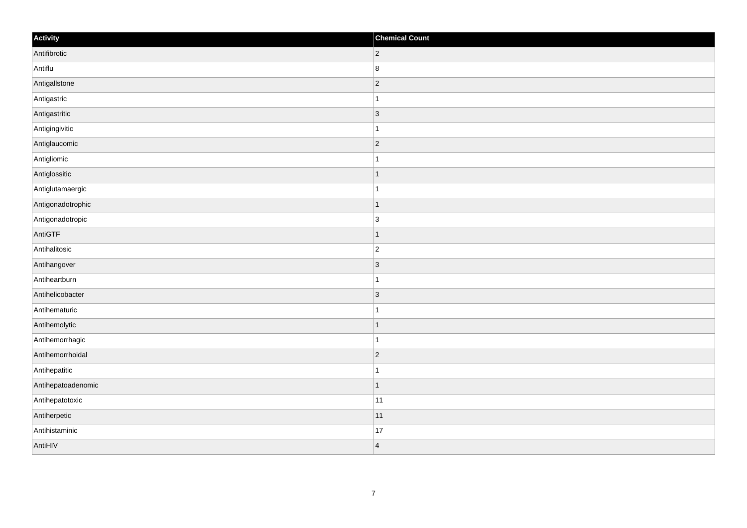| Activity           | <b>Chemical Count</b>    |
|--------------------|--------------------------|
| Antifibrotic       | $ 2\rangle$              |
| Antiflu            | $\bf 8$                  |
| AntigalIstone      | $\vert$ 2                |
| Antigastric        |                          |
| Antigastritic      | $\overline{3}$           |
| Antigingivitic     |                          |
| Antiglaucomic      | $\vert$ 2                |
| Antigliomic        | -1                       |
| Antiglossitic      |                          |
| Antiglutamaergic   |                          |
| Antigonadotrophic  | 1                        |
| Antigonadotropic   | 3                        |
| AntiGTF            | (1)                      |
| Antihalitosic      | $\overline{2}$           |
| Antihangover       | $\vert 3 \vert$          |
| Antiheartburn      | -1                       |
| Antihelicobacter   | $\vert$ 3                |
| Antihematuric      |                          |
| Antihemolytic      | $\overline{\phantom{a}}$ |
| Antihemorrhagic    | -1                       |
| Antihemorrhoidal   | $\overline{2}$           |
| Antihepatitic      | 1                        |
| Antihepatoadenomic | 11                       |
| Antihepatotoxic    | 11                       |
| Antiherpetic       | 11                       |
| Antihistaminic     | 17                       |
| AntiHIV            | $\overline{4}$           |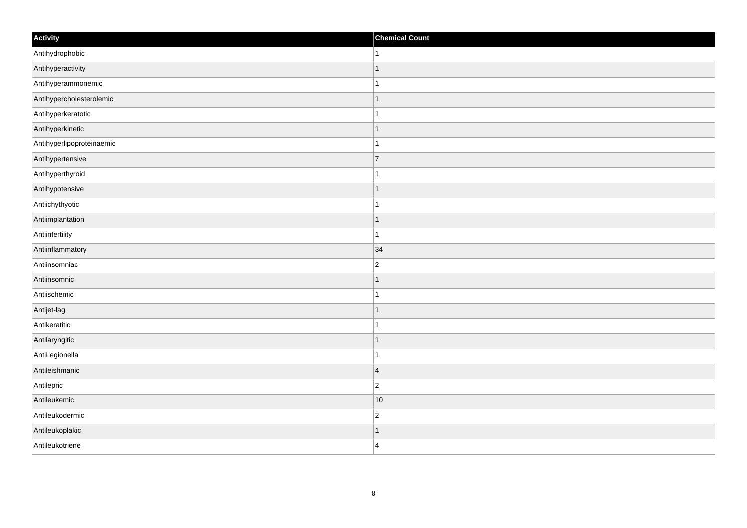| Activity                  | <b>Chemical Count</b> |
|---------------------------|-----------------------|
| Antihydrophobic           | $\mathbf{1}$          |
| Antihyperactivity         | $\mathbf{1}$          |
| Antihyperammonemic        | $\mathbf 1$           |
| Antihypercholesterolemic  | $\vert$ 1             |
| Antihyperkeratotic        | $\mathbf{1}$          |
| Antihyperkinetic          | $\mathbf{1}$          |
| Antihyperlipoproteinaemic | $\mathbf{1}$          |
| Antihypertensive          | $\overline{7}$        |
| Antihyperthyroid          | $\overline{1}$        |
| Antihypotensive           | $\vert$ 1             |
| Antiichythyotic           | $\vert$ 1             |
| Antiimplantation          | $\mathbf{1}$          |
| Antiinfertility           | $\mathbf{1}$          |
| Antiinflammatory          | 34                    |
| Antiinsomniac             | $ 2\rangle$           |
| Antiinsomnic              | $\vert$ 1             |
| Antiischemic              | $\mathbf{1}$          |
| Antijet-lag               | $\vert$ 1             |
| Antikeratitic             | $\mathbf{1}$          |
| Antilaryngitic            | $\mathbf{1}$          |
| AntiLegionella            | $\mathbf{1}$          |
| Antileishmanic            | $\vert 4 \vert$       |
| Antilepric                | $ 2\rangle$           |
| Antileukemic              | $ 10\rangle$          |
| Antileukodermic           | $ 2\rangle$           |
| Antileukoplakic           | $\mathbf{1}$          |
| Antileukotriene           | $\vert$ 4             |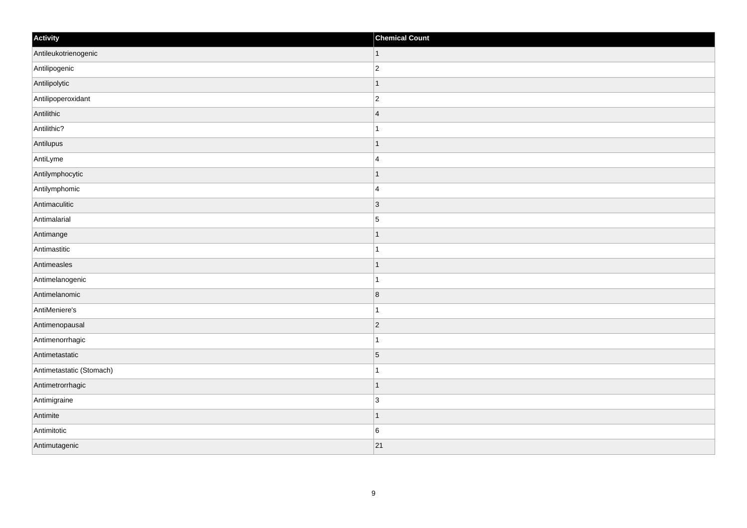| Activity                 | <b>Chemical Count</b>    |
|--------------------------|--------------------------|
| Antileukotrienogenic     | $\vert$ 1                |
| Antilipogenic            | $\overline{c}$           |
| Antilipolytic            |                          |
| Antilipoperoxidant       | $\overline{2}$           |
| Antilithic               | $\overline{4}$           |
| Antilithic?              |                          |
| Antilupus                | 1                        |
| AntiLyme                 | $\overline{4}$           |
| Antilymphocytic          |                          |
| Antilymphomic            | $\overline{4}$           |
| Antimaculitic            | $\vert$ 3                |
| Antimalarial             | $\overline{5}$           |
| Antimange                | 1                        |
| Antimastitic             | 1                        |
| Antimeasles              |                          |
| Antimelanogenic          |                          |
| Antimelanomic            | $\overline{8}$           |
| AntiMeniere's            |                          |
| Antimenopausal           | $ 2\rangle$              |
| Antimenorrhagic          | -1                       |
| Antimetastatic           | $\overline{5}$           |
| Antimetastatic (Stomach) |                          |
| Antimetrorrhagic         | $\overline{\phantom{a}}$ |
| Antimigraine             | 3                        |
| Antimite                 | $\overline{\phantom{a}}$ |
| Antimitotic              | $\, 6$                   |
| Antimutagenic            | 21                       |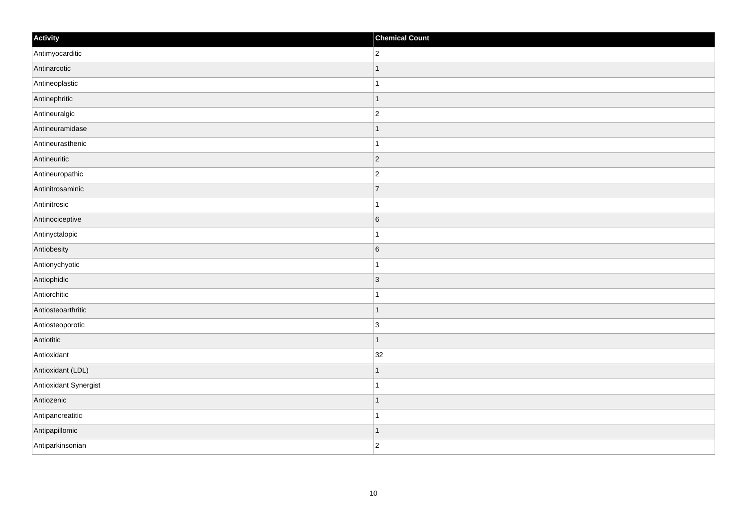| Activity              | <b>Chemical Count</b> |
|-----------------------|-----------------------|
| Antimyocarditic       | $ 2\rangle$           |
| Antinarcotic          | $\mathbf{1}$          |
| Antineoplastic        | $\mathbf{1}$          |
| Antinephritic         | $\vert$ 1             |
| Antineuralgic         | $ 2\rangle$           |
| Antineuramidase       | $\mathbf{1}$          |
| Antineurasthenic      | $\mathbf{1}$          |
| Antineuritic          | $\overline{2}$        |
| Antineuropathic       | $\vert$ 2             |
| Antinitrosaminic      | $\overline{7}$        |
| Antinitrosic          | $\vert$ 1             |
| Antinociceptive       | $6\overline{6}$       |
| Antinyctalopic        | $\mathbf{1}$          |
| Antiobesity           | $6\overline{6}$       |
| Antionychyotic        | $\mathbf{1}$          |
| Antiophidic           | $ 3\rangle$           |
| Antiorchitic          | $\mathbf{1}$          |
| Antiosteoarthritic    | $\vert$ 1             |
| Antiosteoporotic      | 3                     |
| Antiotitic            | $\vert$ 1             |
| Antioxidant           | 32                    |
| Antioxidant (LDL)     | $\vert$ 1             |
| Antioxidant Synergist | $\mathbf{1}$          |
| Antiozenic            | $\vert$ 1             |
| Antipancreatitic      | $\vert$ 1             |
| Antipapillomic        | $\vert$ 1             |
| Antiparkinsonian      | $ 2\rangle$           |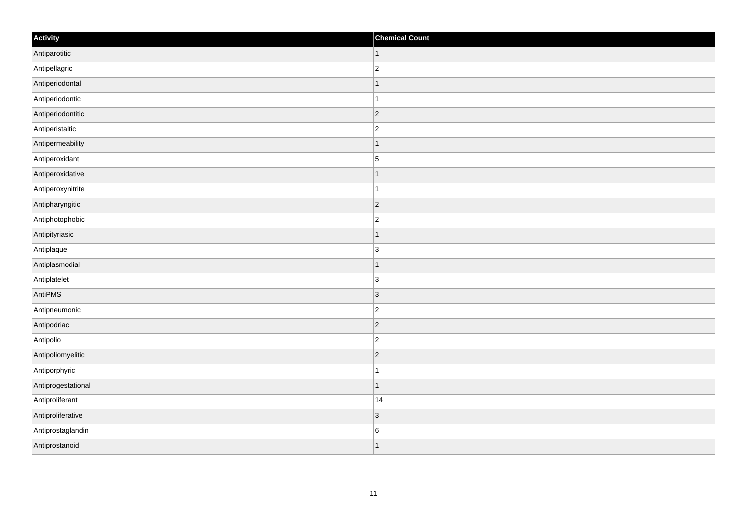| Activity           | <b>Chemical Count</b> |
|--------------------|-----------------------|
| Antiparotitic      | $\vert$ 1             |
| Antipellagric      | $\overline{2}$        |
| Antiperiodontal    | 1                     |
| Antiperiodontic    | $\mathbf 1$           |
| Antiperiodontitic  | $\overline{c}$        |
| Antiperistaltic    | $\overline{2}$        |
| Antipermeability   | $\vert$ 1             |
| Antiperoxidant     | $\overline{5}$        |
| Antiperoxidative   | -1                    |
| Antiperoxynitrite  | $\mathbf{1}$          |
| Antipharyngitic    | $\overline{2}$        |
| Antiphotophobic    | $\overline{c}$        |
| Antipityriasic     | $\vert$ 1             |
| Antiplaque         | $\overline{3}$        |
| Antiplasmodial     | $\mathbf 1$           |
| Antiplatelet       | $\overline{3}$        |
| AntiPMS            | 3                     |
| Antipneumonic      | $\overline{c}$        |
| Antipodriac        | $ 2\rangle$           |
| Antipolio          | $\overline{c}$        |
| Antipoliomyelitic  | $ 2\rangle$           |
| Antiporphyric      | $\mathbf{1}$          |
| Antiprogestational | $\mathbf{1}$          |
| Antiproliferant    | 14                    |
| Antiproliferative  | $ 3\rangle$           |
| Antiprostaglandin  | $\,6$                 |
| Antiprostanoid     | 1                     |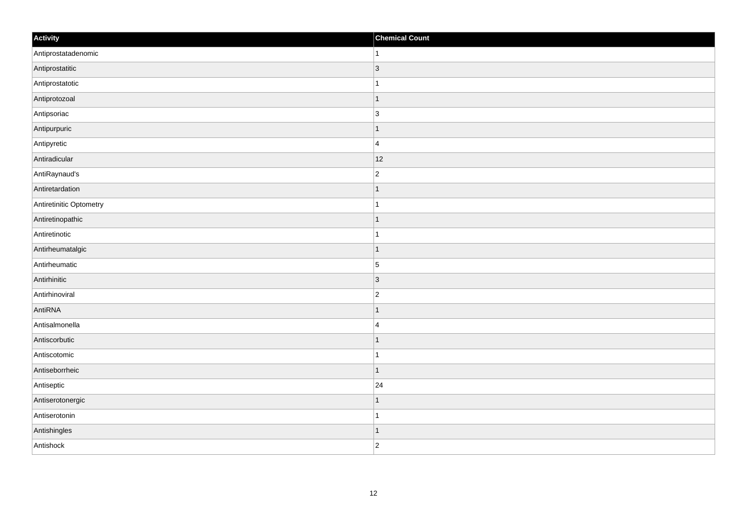| Activity                | <b>Chemical Count</b> |
|-------------------------|-----------------------|
| Antiprostatadenomic     | $\vert$ 1             |
| Antiprostatitic         | 3                     |
| Antiprostatotic         |                       |
| Antiprotozoal           | $\overline{1}$        |
| Antipsoriac             | 3                     |
| Antipurpuric            | -1                    |
| Antipyretic             | $\overline{4}$        |
| Antiradicular           | 12                    |
| AntiRaynaud's           | $\overline{c}$        |
| Antiretardation         | $\vert$ 1             |
| Antiretinitic Optometry | $\mathbf{1}$          |
| Antiretinopathic        | 1                     |
| Antiretinotic           | $\mathbf{1}$          |
| Antirheumatalgic        | $\mathbf 1$           |
| Antirheumatic           | 5                     |
| Antirhinitic            | 3                     |
| Antirhinoviral          | $\overline{c}$        |
| AntiRNA                 | $\mathbf 1$           |
| Antisalmonella          | $\overline{4}$        |
| Antiscorbutic           | $\mathbf 1$           |
| Antiscotomic            | $\mathbf{1}$          |
| Antiseborrheic          | $\mathbf{1}$          |
| Antiseptic              | 24                    |
| Antiserotonergic        | 1                     |
| Antiserotonin           | $\vert$ 1             |
| Antishingles            | $\vert$ 1             |
| Antishock               | $\overline{2}$        |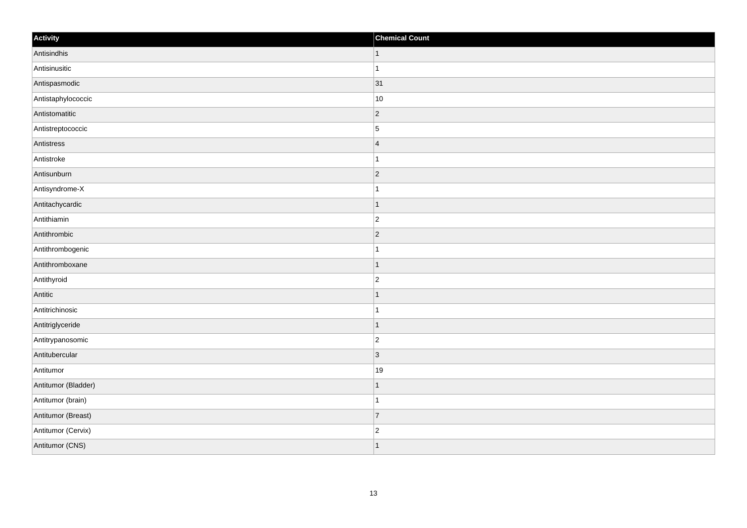| Activity            | <b>Chemical Count</b>   |
|---------------------|-------------------------|
| Antisindhis         | $\vert$ 1               |
| Antisinusitic       | $\mathbf{1}$            |
| Antispasmodic       | 31                      |
| Antistaphylococcic  | 10                      |
| Antistomatitic      | $\overline{2}$          |
| Antistreptococcic   | $\overline{5}$          |
| Antistress          | $\overline{\mathbf{4}}$ |
| Antistroke          | $\mathbf{1}$            |
| Antisunburn         | $ 2\rangle$             |
| Antisyndrome-X      | $\mathbf{1}$            |
| Antitachycardic     | $\mathbf 1$             |
| Antithiamin         | $ 2\rangle$             |
| Antithrombic        | $ 2\rangle$             |
| Antithrombogenic    | $\mathbf 1$             |
| Antithromboxane     | $\vert$ 1               |
| Antithyroid         | $ 2\rangle$             |
| Antitic             | 1                       |
| Antitrichinosic     | $\overline{1}$          |
| Antitriglyceride    | $\vert$ 1               |
| Antitrypanosomic    | $\overline{c}$          |
| Antitubercular      | 3                       |
| Antitumor           | 19                      |
| Antitumor (Bladder) | 1                       |
| Antitumor (brain)   | $\mathbf{1}$            |
| Antitumor (Breast)  | 7                       |
| Antitumor (Cervix)  | $\overline{c}$          |
| Antitumor (CNS)     | $\overline{1}$          |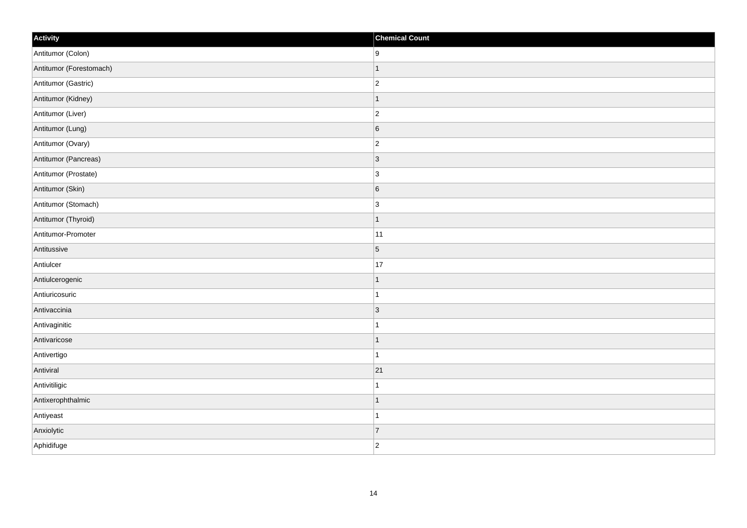| Activity                | <b>Chemical Count</b> |
|-------------------------|-----------------------|
| Antitumor (Colon)       | 9                     |
| Antitumor (Forestomach) | $\mathbf{1}$          |
| Antitumor (Gastric)     | $ 2\rangle$           |
| Antitumor (Kidney)      | $\mathbf{1}$          |
| Antitumor (Liver)       | $ 2\rangle$           |
| Antitumor (Lung)        | 6                     |
| Antitumor (Ovary)       | $ 2\rangle$           |
| Antitumor (Pancreas)    | $\vert$ 3             |
| Antitumor (Prostate)    | $\vert$ 3             |
| Antitumor (Skin)        | 6                     |
| Antitumor (Stomach)     | $\vert$ 3             |
| Antitumor (Thyroid)     | $\mathbf{1}$          |
| Antitumor-Promoter      | 11                    |
| Antitussive             | $\vert 5 \vert$       |
| Antiulcer               | $17\,$                |
| Antiulcerogenic         | $\mathbf{1}$          |
| Antiuricosuric          | 1                     |
| Antivaccinia            | $\vert$ 3             |
| Antivaginitic           | $\overline{1}$        |
| Antivaricose            | 1                     |
| Antivertigo             | 1                     |
| Antiviral               | 21                    |
| Antivitiligic           | 1                     |
| Antixerophthalmic       | $\overline{1}$        |
| Antiyeast               | $\mathbf{1}$          |
| Anxiolytic              | $\overline{7}$        |
| Aphidifuge              | $ 2\rangle$           |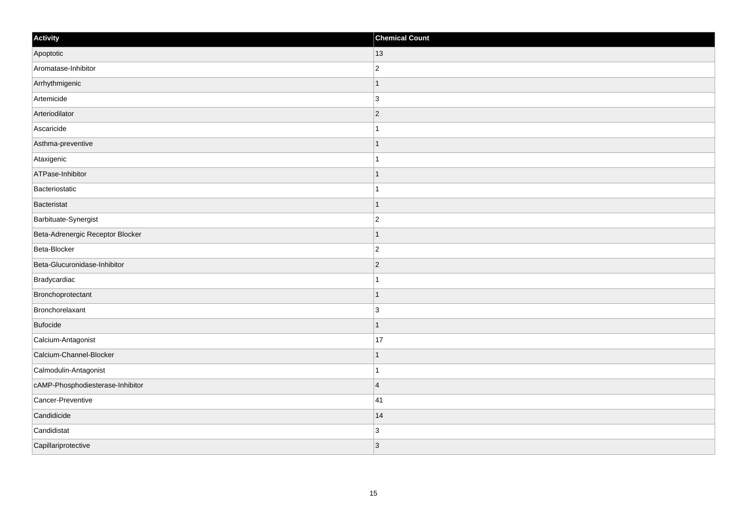| Activity                         | <b>Chemical Count</b> |
|----------------------------------|-----------------------|
| Apoptotic                        | 13                    |
| Aromatase-Inhibitor              | $\overline{2}$        |
| Arrhythmigenic                   |                       |
| Artemicide                       | 3                     |
| Arteriodilator                   | $\overline{2}$        |
| Ascaricide                       |                       |
| Asthma-preventive                |                       |
| Ataxigenic                       |                       |
| ATPase-Inhibitor                 |                       |
| Bacteriostatic                   |                       |
| Bacteristat                      |                       |
| Barbituate-Synergist             | $\overline{c}$        |
| Beta-Adrenergic Receptor Blocker | -1                    |
| Beta-Blocker                     | $\overline{c}$        |
| Beta-Glucuronidase-Inhibitor     | $\overline{2}$        |
| Bradycardiac                     |                       |
| Bronchoprotectant                |                       |
| Bronchorelaxant                  | 3                     |
| Bufocide                         | -1                    |
| Calcium-Antagonist               | 17                    |
| Calcium-Channel-Blocker          |                       |
| Calmodulin-Antagonist            |                       |
| cAMP-Phosphodiesterase-Inhibitor | $\overline{4}$        |
| Cancer-Preventive                | 41                    |
| Candidicide                      | 14                    |
| Candidistat                      | $\overline{3}$        |
| Capillariprotective              | 3                     |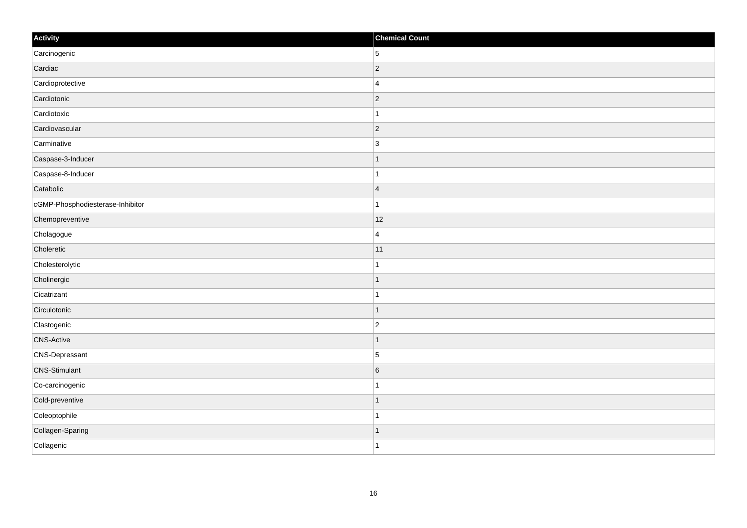| Activity                         | <b>Chemical Count</b> |
|----------------------------------|-----------------------|
| Carcinogenic                     | 5                     |
| Cardiac                          | $\overline{c}$        |
| Cardioprotective                 | $\overline{4}$        |
| Cardiotonic                      | $ 2\rangle$           |
| Cardiotoxic                      | $\mathbf{1}$          |
| Cardiovascular                   | $ 2\rangle$           |
| Carminative                      | $\overline{3}$        |
| Caspase-3-Inducer                |                       |
| Caspase-8-Inducer                |                       |
| Catabolic                        | $\overline{4}$        |
| cGMP-Phosphodiesterase-Inhibitor | $\mathbf{1}$          |
| Chemopreventive                  | 12                    |
| Cholagogue                       | $\overline{4}$        |
| Choleretic                       | 11                    |
| Cholesterolytic                  |                       |
| Cholinergic                      | $\mathbf{1}$          |
| Cicatrizant                      | $\mathbf 1$           |
| Circulotonic                     | $\mathbf 1$           |
| Clastogenic                      | $\overline{2}$        |
| <b>CNS-Active</b>                | 1                     |
| <b>CNS-Depressant</b>            | 5                     |
| <b>CNS-Stimulant</b>             | $6\phantom{.}6$       |
| Co-carcinogenic                  |                       |
| Cold-preventive                  | $\overline{1}$        |
| Coleoptophile                    | $\mathbf 1$           |
| Collagen-Sparing                 | 1                     |
| Collagenic                       | $\overline{1}$        |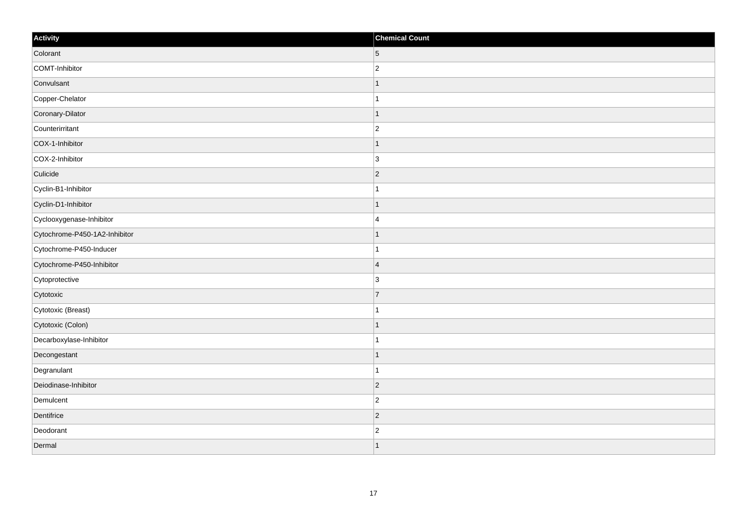| Activity                      | <b>Chemical Count</b> |
|-------------------------------|-----------------------|
| Colorant                      | $\vert 5 \vert$       |
| COMT-Inhibitor                | $\vert$ 2             |
| Convulsant                    | $\mathbf{1}$          |
| Copper-Chelator               | $\mathbf{1}$          |
| Coronary-Dilator              | $\mathbf{1}$          |
| Counterirritant               | $\overline{2}$        |
| COX-1-Inhibitor               | $\mathbf{1}$          |
| COX-2-Inhibitor               | 3                     |
| Culicide                      | $\overline{2}$        |
| Cyclin-B1-Inhibitor           | $\mathbf{1}$          |
| Cyclin-D1-Inhibitor           | $\mathbf{1}$          |
| Cyclooxygenase-Inhibitor      | 4                     |
| Cytochrome-P450-1A2-Inhibitor | $\mathbf{1}$          |
| Cytochrome-P450-Inducer       | $\mathbf{1}$          |
| Cytochrome-P450-Inhibitor     | 4                     |
| Cytoprotective                | 3                     |
| Cytotoxic                     | $\overline{7}$        |
| Cytotoxic (Breast)            | $\mathbf{1}$          |
| Cytotoxic (Colon)             | $\mathbf{1}$          |
| Decarboxylase-Inhibitor       | $\mathbf{1}$          |
| Decongestant                  | $\mathbf{1}$          |
| Degranulant                   | $\mathbf{1}$          |
| Deiodinase-Inhibitor          | $\vert$ 2             |
| Demulcent                     | $ 2\rangle$           |
| Dentifrice                    | $ 2\rangle$           |
| Deodorant                     | $\vert$ 2             |
| Dermal                        | $\vert$ 1             |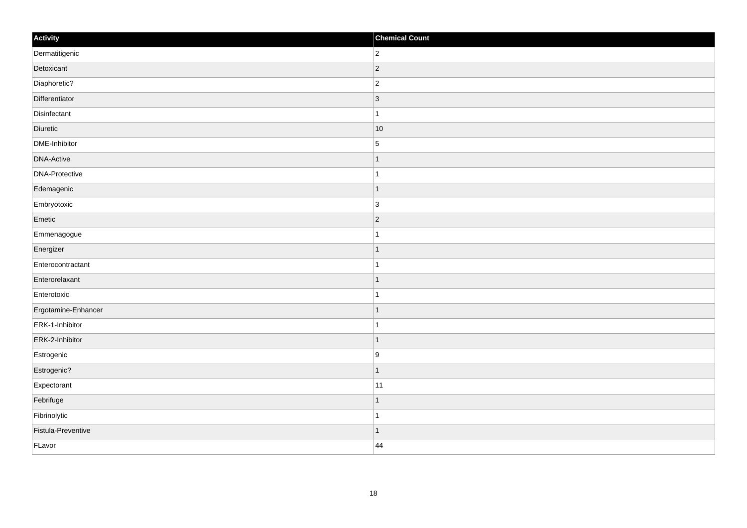| Activity            | <b>Chemical Count</b> |
|---------------------|-----------------------|
| Dermatitigenic      | $\overline{2}$        |
| Detoxicant          | $ 2\rangle$           |
| Diaphoretic?        | $ 2\rangle$           |
| Differentiator      | $ 3\rangle$           |
| Disinfectant        | $\mathbf{1}$          |
| Diuretic            | $ 10\rangle$          |
| DME-Inhibitor       | $\overline{5}$        |
| <b>DNA-Active</b>   | $\mathbf 1$           |
| DNA-Protective      | 1                     |
| Edemagenic          | $\overline{1}$        |
| Embryotoxic         | $\overline{3}$        |
| Emetic              | $ 2\rangle$           |
| Emmenagogue         | $\mathbf{1}$          |
| Energizer           | $\mathbf 1$           |
| Enterocontractant   | 1                     |
| Enterorelaxant      | $\mathbf{1}$          |
| Enterotoxic         | $\mathbf{1}$          |
| Ergotamine-Enhancer | $\vert$ 1             |
| ERK-1-Inhibitor     | $\mathbf{1}$          |
| ERK-2-Inhibitor     | $\vert$ 1             |
| Estrogenic          | ∣9                    |
| Estrogenic?         | $\vert$ 1             |
| Expectorant         | 11                    |
| Febrifuge           | $\mathbf 1$           |
| Fibrinolytic        | $\overline{1}$        |
| Fistula-Preventive  | $\vert$ 1             |
| FLavor              | 44                    |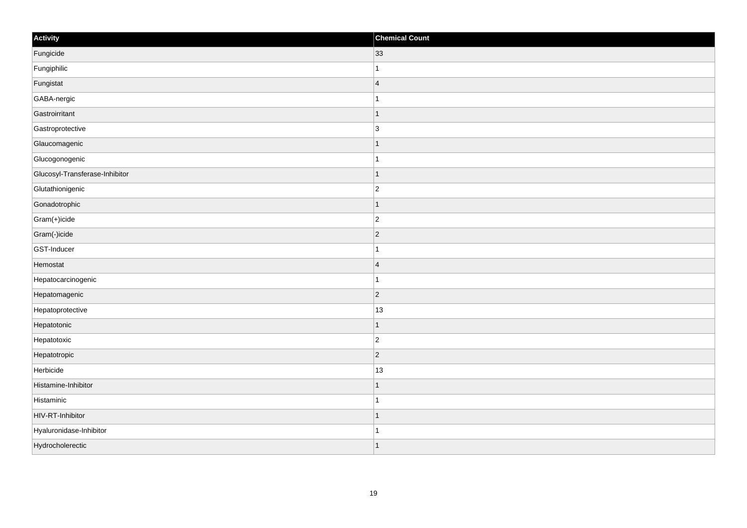| Activity                       | <b>Chemical Count</b> |
|--------------------------------|-----------------------|
| Fungicide                      | 33                    |
| Fungiphilic                    |                       |
| Fungistat                      | $\overline{4}$        |
| GABA-nergic                    | 1                     |
| Gastroirritant                 | $\mathbf 1$           |
| Gastroprotective               | $\overline{3}$        |
| Glaucomagenic                  | $\mathbf 1$           |
| Glucogonogenic                 | $\mathbf{1}$          |
| Glucosyl-Transferase-Inhibitor | $\mathbf 1$           |
| Glutathionigenic               | $\overline{c}$        |
| Gonadotrophic                  | $\mathbf 1$           |
| Gram(+)icide                   | $\overline{c}$        |
| Gram(-)icide                   | $ 2\rangle$           |
| GST-Inducer                    | $\mathbf{1}$          |
| Hemostat                       | $\overline{4}$        |
| Hepatocarcinogenic             | $\mathbf{1}$          |
| Hepatomagenic                  | $\overline{c}$        |
| Hepatoprotective               | 13                    |
| Hepatotonic                    | $\vert$ 1             |
| Hepatotoxic                    | $\overline{c}$        |
| Hepatotropic                   | $ 2\rangle$           |
| Herbicide                      | 13                    |
| Histamine-Inhibitor            | $\mathbf 1$           |
| Histaminic                     | 1                     |
| HIV-RT-Inhibitor               | $\vert$ 1             |
| Hyaluronidase-Inhibitor        | 1                     |
| Hydrocholerectic               | $\vert$ 1             |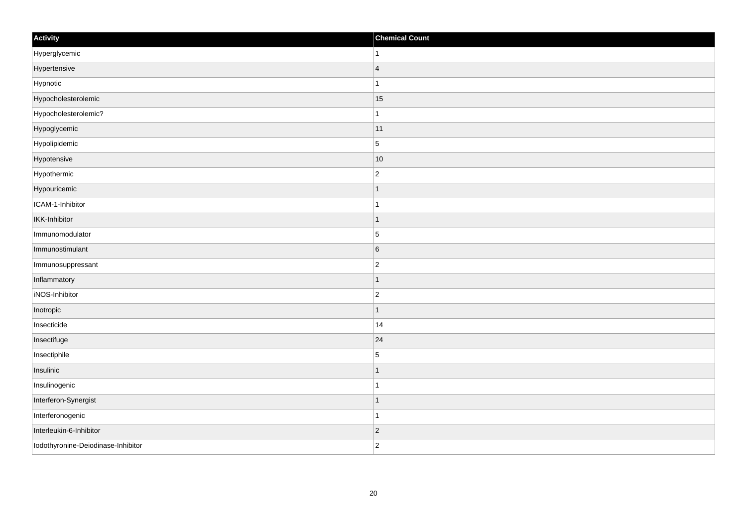| Activity                           | <b>Chemical Count</b> |
|------------------------------------|-----------------------|
| Hyperglycemic                      | $\mathbf{1}$          |
| Hypertensive                       | $\overline{4}$        |
| Hypnotic                           | 1                     |
| Hypocholesterolemic                | 15                    |
| Hypocholesterolemic?               | $\mathbf{1}$          |
| Hypoglycemic                       | 11                    |
| Hypolipidemic                      | $\overline{5}$        |
| Hypotensive                        | 10                    |
| Hypothermic                        | $\overline{c}$        |
| Hypouricemic                       | $\mathbf 1$           |
| ICAM-1-Inhibitor                   | $\mathbf 1$           |
| <b>IKK-Inhibitor</b>               | 1                     |
| Immunomodulator                    | $\overline{5}$        |
| Immunostimulant                    | $6\phantom{.}6$       |
| Immunosuppressant                  | $\overline{c}$        |
| Inflammatory                       | $\vert$ 1             |
| iNOS-Inhibitor                     | $\overline{c}$        |
| Inotropic                          | $\mathbf 1$           |
| Insecticide                        | 14                    |
| Insectifuge                        | 24                    |
| Insectiphile                       | 5                     |
| Insulinic                          | $\mathbf{1}$          |
| Insulinogenic                      | 1                     |
| Interferon-Synergist               | $\overline{1}$        |
| Interferonogenic                   | $\overline{1}$        |
| Interleukin-6-Inhibitor            | $ 2\rangle$           |
| Iodothyronine-Deiodinase-Inhibitor | $\overline{2}$        |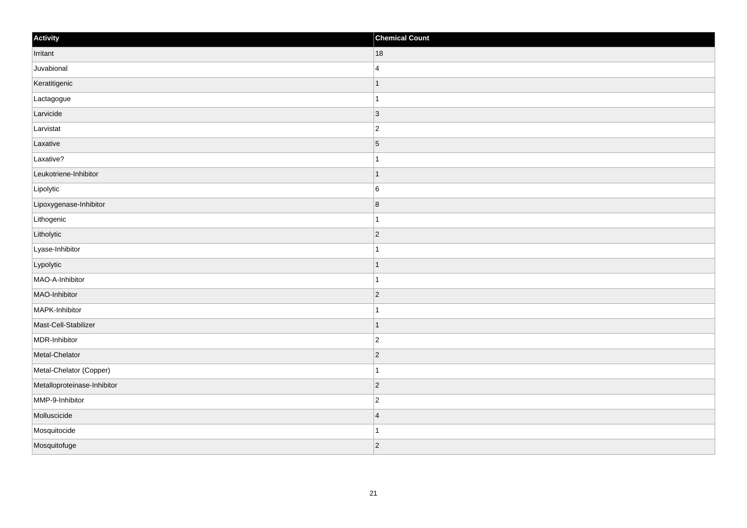| Activity                    | <b>Chemical Count</b>   |
|-----------------------------|-------------------------|
| Irritant                    | 18                      |
| Juvabional                  | $\overline{4}$          |
| Keratitigenic               | $\mathbf{1}$            |
| Lactagogue                  | $\mathbf{1}$            |
| Larvicide                   | $\vert$ 3               |
| Larvistat                   | $\vert$ 2               |
| Laxative                    | $\overline{5}$          |
| Laxative?                   | $\mathbf{1}$            |
| Leukotriene-Inhibitor       | $\overline{1}$          |
| Lipolytic                   | 6                       |
| Lipoxygenase-Inhibitor      | $\overline{\mathbf{8}}$ |
| Lithogenic                  | $\overline{1}$          |
| Litholytic                  | 2                       |
| Lyase-Inhibitor             | $\mathbf{1}$            |
| Lypolytic                   | $\overline{1}$          |
| MAO-A-Inhibitor             | $\mathbf{1}$            |
| MAO-Inhibitor               | $\overline{2}$          |
| MAPK-Inhibitor              | $\overline{1}$          |
| Mast-Cell-Stabilizer        | $\vert$ 1               |
| MDR-Inhibitor               | $\mathbf 2$             |
| Metal-Chelator              | $ 2\rangle$             |
| Metal-Chelator (Copper)     | $\mathbf{1}$            |
| Metalloproteinase-Inhibitor | $\overline{2}$          |
| MMP-9-Inhibitor             | $\overline{c}$          |
| Molluscicide                | $\overline{4}$          |
| Mosquitocide                | $\overline{1}$          |
| Mosquitofuge                | $ 2\rangle$             |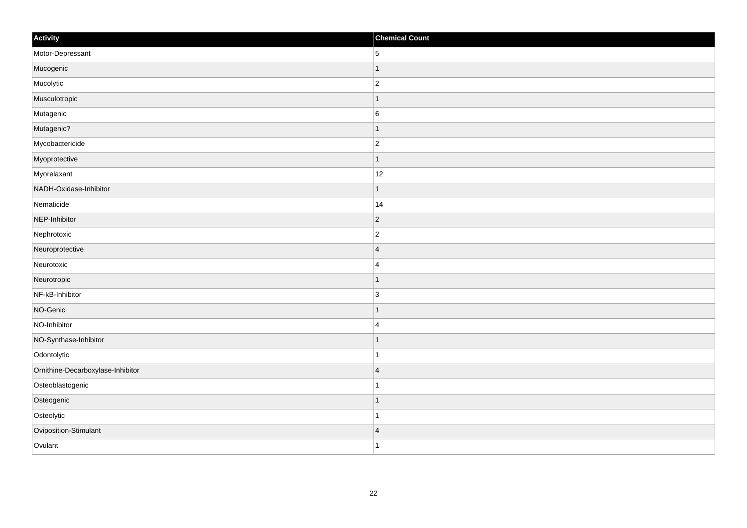| Activity                          | <b>Chemical Count</b> |
|-----------------------------------|-----------------------|
| Motor-Depressant                  | 5                     |
| Mucogenic                         |                       |
| Mucolytic                         | $\overline{c}$        |
| Musculotropic                     | $\mathbf{1}$          |
| Mutagenic                         | $6\phantom{a}$        |
| Mutagenic?                        |                       |
| Mycobactericide                   | $\overline{c}$        |
| Myoprotective                     | $\mathbf 1$           |
| Myorelaxant                       | $12$                  |
| NADH-Oxidase-Inhibitor            | $\mathbf{1}$          |
| Nematicide                        | 14                    |
| NEP-Inhibitor                     | $ 2\rangle$           |
| Nephrotoxic                       | $\overline{c}$        |
| Neuroprotective                   | $\overline{4}$        |
| Neurotoxic                        | $\overline{4}$        |
| Neurotropic                       | $\mathbf 1$           |
| NF-kB-Inhibitor                   | $\overline{3}$        |
| NO-Genic                          | $\mathbf 1$           |
| NO-Inhibitor                      | $\overline{4}$        |
| NO-Synthase-Inhibitor             |                       |
| Odontolytic                       | $\mathbf{1}$          |
| Ornithine-Decarboxylase-Inhibitor | $\overline{4}$        |
| Osteoblastogenic                  | 1                     |
| Osteogenic                        | $\mathbf 1$           |
| Osteolytic                        | $\mathbf{1}$          |
| Oviposition-Stimulant             | $\overline{4}$        |
| Ovulant                           | $\overline{1}$        |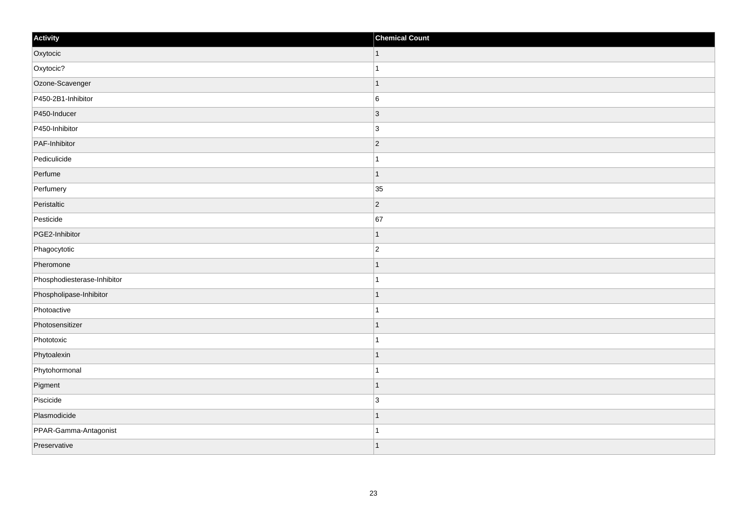| Activity                    | <b>Chemical Count</b>    |
|-----------------------------|--------------------------|
| Oxytocic                    | $\vert$ 1                |
| Oxytocic?                   |                          |
| Ozone-Scavenger             | f.                       |
| P450-2B1-Inhibitor          | $\,6$                    |
| P450-Inducer                | $\overline{3}$           |
| P450-Inhibitor              | 3                        |
| PAF-Inhibitor               | $\vert$ 2                |
| Pediculicide                | 1                        |
| Perfume                     | 1                        |
| Perfumery                   | 35                       |
| Peristaltic                 | $\overline{2}$           |
| Pesticide                   | 67                       |
| PGE2-Inhibitor              | -1                       |
| Phagocytotic                | $\overline{2}$           |
| Pheromone                   |                          |
| Phosphodiesterase-Inhibitor |                          |
| Phospholipase-Inhibitor     |                          |
| Photoactive                 |                          |
| Photosensitizer             | $\overline{\phantom{a}}$ |
| Phototoxic                  | 1                        |
| Phytoalexin                 |                          |
| Phytohormonal               |                          |
| Pigment                     | -1                       |
| Piscicide                   | 3                        |
| Plasmodicide                | 1                        |
| PPAR-Gamma-Antagonist       | -1                       |
| Preservative                | $\overline{\phantom{a}}$ |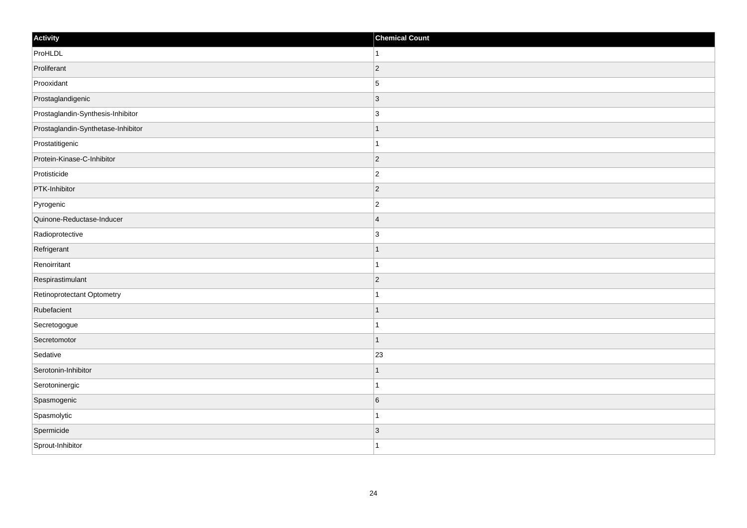| Activity                           | <b>Chemical Count</b> |
|------------------------------------|-----------------------|
| ProHLDL                            | ∣1.                   |
| Proliferant                        | $ 2\rangle$           |
| Prooxidant                         | 5                     |
| Prostaglandigenic                  | $\vert$ 3             |
| Prostaglandin-Synthesis-Inhibitor  | $\vert$ 3             |
| Prostaglandin-Synthetase-Inhibitor | -1                    |
| Prostatitigenic                    | $\mathbf{1}$          |
| Protein-Kinase-C-Inhibitor         | $\overline{2}$        |
| Protisticide                       | $\overline{2}$        |
| PTK-Inhibitor                      | $ 2\rangle$           |
| Pyrogenic                          | $\overline{2}$        |
| Quinone-Reductase-Inducer          | $\vert 4$             |
| Radioprotective                    | 3                     |
| Refrigerant                        | $\mathbf{1}$          |
| Renoirritant                       | $\mathbf{1}$          |
| Respirastimulant                   | $ 2\rangle$           |
| Retinoprotectant Optometry         | $\mathbf{1}$          |
| Rubefacient                        | $\mathbf{1}$          |
| Secretogogue                       | $\mathbf{1}$          |
| Secretomotor                       | $\mathbf{1}$          |
| Sedative                           | 23                    |
| Serotonin-Inhibitor                | $\mathbf{1}$          |
| Serotoninergic                     | $\mathbf{1}$          |
| Spasmogenic                        | 6                     |
| Spasmolytic                        | $\mathbf{1}$          |
| Spermicide                         | $\vert$ 3             |
| Sprout-Inhibitor                   | $\vert$ 1             |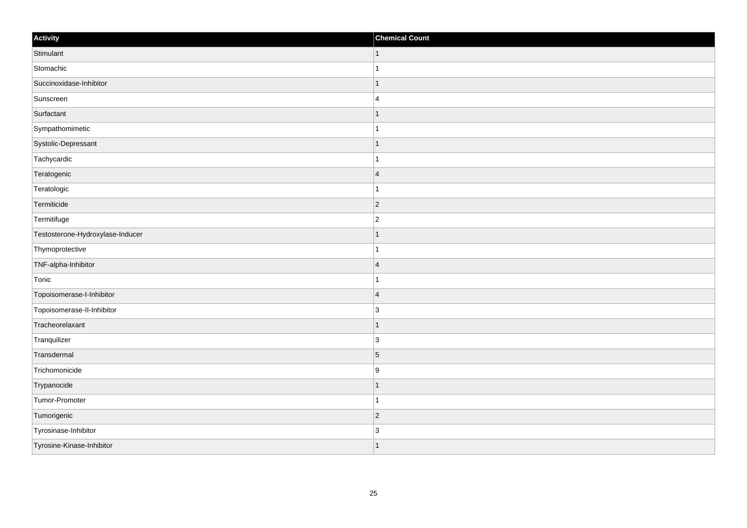| Activity                         | <b>Chemical Count</b> |
|----------------------------------|-----------------------|
| Stimulant                        | $\vert$ 1             |
| Stomachic                        | $\overline{1}$        |
| Succinoxidase-Inhibitor          |                       |
| Sunscreen                        | $\overline{4}$        |
| Surfactant                       |                       |
| Sympathomimetic                  |                       |
| Systolic-Depressant              | $\mathbf 1$           |
| Tachycardic                      | $\mathbf{1}$          |
| Teratogenic                      | $\overline{4}$        |
| Teratologic                      | $\overline{1}$        |
| Termiticide                      | $\overline{2}$        |
| Termitifuge                      | $\overline{2}$        |
| Testosterone-Hydroxylase-Inducer | $\mathbf 1$           |
| Thymoprotective                  | $\mathbf{1}$          |
| TNF-alpha-Inhibitor              | $\overline{4}$        |
| Tonic                            | $\mathbf{1}$          |
| Topoisomerase-I-Inhibitor        | $\overline{4}$        |
| Topoisomerase-II-Inhibitor       | $\overline{3}$        |
| Tracheorelaxant                  | $\mathbf{1}$          |
| Tranquilizer                     | 3                     |
| Transdermal                      | 5                     |
| Trichomonicide                   | 9                     |
| Trypanocide                      | $\mathbf 1$           |
| Tumor-Promoter                   | $\overline{1}$        |
| Tumorigenic                      | $ 2\rangle$           |
| Tyrosinase-Inhibitor             | $\overline{3}$        |
| Tyrosine-Kinase-Inhibitor        | 1                     |